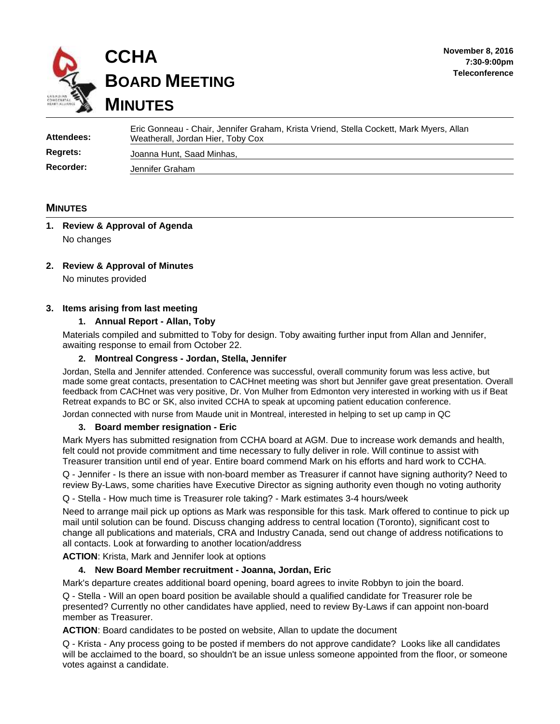

| Attendees:      | Eric Gonneau - Chair, Jennifer Graham, Krista Vriend, Stella Cockett, Mark Myers, Allan<br>Weatherall, Jordan Hier, Toby Cox |
|-----------------|------------------------------------------------------------------------------------------------------------------------------|
| <b>Regrets:</b> | Joanna Hunt, Saad Minhas,                                                                                                    |
| Recorder:       | Jennifer Graham                                                                                                              |

## **MINUTES**

# **1. Review & Approval of Agenda** No changes

### **2. Review & Approval of Minutes**

No minutes provided

### **3. Items arising from last meeting**

### **1. Annual Report - Allan, Toby**

Materials compiled and submitted to Toby for design. Toby awaiting further input from Allan and Jennifer, awaiting response to email from October 22.

### **2. Montreal Congress - Jordan, Stella, Jennifer**

Jordan, Stella and Jennifer attended. Conference was successful, overall community forum was less active, but made some great contacts, presentation to CACHnet meeting was short but Jennifer gave great presentation. Overall feedback from CACHnet was very positive, Dr. Von Mulher from Edmonton very interested in working with us if Beat Retreat expands to BC or SK, also invited CCHA to speak at upcoming patient education conference.

Jordan connected with nurse from Maude unit in Montreal, interested in helping to set up camp in QC

### **3. Board member resignation - Eric**

Mark Myers has submitted resignation from CCHA board at AGM. Due to increase work demands and health, felt could not provide commitment and time necessary to fully deliver in role. Will continue to assist with Treasurer transition until end of year. Entire board commend Mark on his efforts and hard work to CCHA.

Q - Jennifer - Is there an issue with non-board member as Treasurer if cannot have signing authority? Need to review By-Laws, some charities have Executive Director as signing authority even though no voting authority

Q - Stella - How much time is Treasurer role taking? - Mark estimates 3-4 hours/week

Need to arrange mail pick up options as Mark was responsible for this task. Mark offered to continue to pick up mail until solution can be found. Discuss changing address to central location (Toronto), significant cost to change all publications and materials, CRA and Industry Canada, send out change of address notifications to all contacts. Look at forwarding to another location/address

**ACTION**: Krista, Mark and Jennifer look at options

### **4. New Board Member recruitment - Joanna, Jordan, Eric**

Mark's departure creates additional board opening, board agrees to invite Robbyn to join the board.

Q - Stella - Will an open board position be available should a qualified candidate for Treasurer role be presented? Currently no other candidates have applied, need to review By-Laws if can appoint non-board member as Treasurer.

**ACTION**: Board candidates to be posted on website, Allan to update the document

Q - Krista - Any process going to be posted if members do not approve candidate? Looks like all candidates will be acclaimed to the board, so shouldn't be an issue unless someone appointed from the floor, or someone votes against a candidate.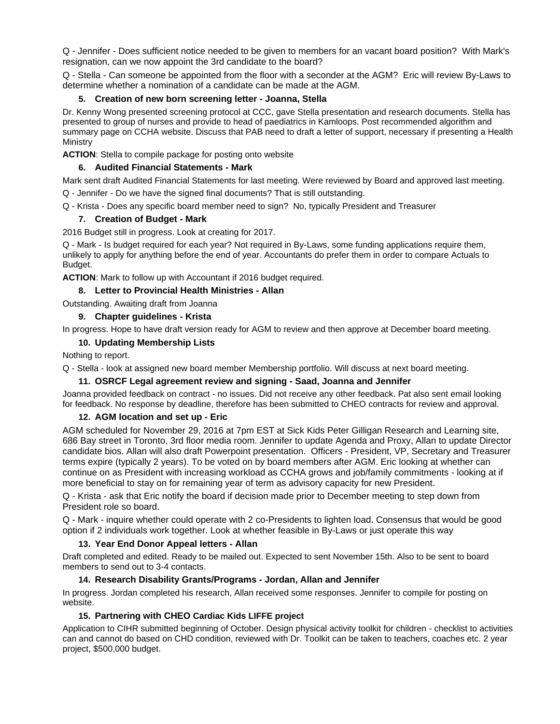Q - Jennifer - Does sufficient notice needed to be given to members for an vacant board position? With Mark's resignation, can we now appoint the 3rd candidate to the board?

Q - Stella - Can someone be appointed from the floor with a seconder at the AGM? Eric will review By-Laws to determine whether a nomination of a candidate can be made at the AGM.

### **5. Creation of new born screening letter - Joanna, Stella**

Dr. Kenny Wong presented screening protocol at CCC, gave Stella presentation and research documents. Stella has presented to group of nurses and provide to head of paediatrics in Kamloops. Post recommended algorithm and summary page on CCHA website. Discuss that PAB need to draft a letter of support, necessary if presenting a Health **Ministry** 

**ACTION**: Stella to compile package for posting onto website

### **6. Audited Financial Statements - Mark**

Mark sent draft Audited Financial Statements for last meeting. Were reviewed by Board and approved last meeting. Q - Jennifer - Do we have the signed final documents? That is still outstanding.

Q - Krista - Does any specific board member need to sign? No, typically President and Treasurer

## **7. Creation of Budget - Mark**

2016 Budget still in progress. Look at creating for 2017.

Q - Mark - Is budget required for each year? Not required in By-Laws, some funding applications require them, unlikely to apply for anything before the end of year. Accountants do prefer them in order to compare Actuals to Budget.

**ACTION**: Mark to follow up with Accountant if 2016 budget required.

## **8. Letter to Provincial Health Ministries - Allan**

Outstanding. Awaiting draft from Joanna

### **9. Chapter guidelines - Krista**

In progress. Hope to have draft version ready for AGM to review and then approve at December board meeting.

### **10. Updating Membership Lists**

Nothing to report.

Q - Stella - look at assigned new board member Membership portfolio. Will discuss at next board meeting.

## **11. OSRCF Legal agreement review and signing - Saad, Joanna and Jennifer**

Joanna provided feedback on contract - no issues. Did not receive any other feedback. Pat also sent email looking for feedback. No response by deadline, therefore has been submitted to CHEO contracts for review and approval.

### **12. AGM location and set up - Eric**

AGM scheduled for November 29, 2016 at 7pm EST at Sick Kids Peter Gilligan Research and Learning site, 686 Bay street in Toronto, 3rd floor media room. Jennifer to update Agenda and Proxy, Allan to update Director candidate bios. Allan will also draft Powerpoint presentation. Officers - President, VP, Secretary and Treasurer terms expire (typically 2 years). To be voted on by board members after AGM. Eric looking at whether can continue on as President with increasing workload as CCHA grows and job/family commitments - looking at if more beneficial to stay on for remaining year of term as advisory capacity for new President.

Q - Krista - ask that Eric notify the board if decision made prior to December meeting to step down from President role so board.

Q - Mark - inquire whether could operate with 2 co-Presidents to lighten load. Consensus that would be good option if 2 individuals work together. Look at whether feasible in By-Laws or just operate this way

## **13. Year End Donor Appeal letters - Allan**

Draft completed and edited. Ready to be mailed out. Expected to sent November 15th. Also to be sent to board members to send out to 3-4 contacts.

### **14. Research Disability Grants/Programs - Jordan, Allan and Jennifer**

In progress. Jordan completed his research, Allan received some responses. Jennifer to compile for posting on website.

## **15. Partnering with CHEO Cardiac Kids LIFFE project**

Application to CIHR submitted beginning of October. Design physical activity toolkit for children - checklist to activities can and cannot do based on CHD condition, reviewed with Dr. Toolkit can be taken to teachers, coaches etc. 2 year project, \$500,000 budget.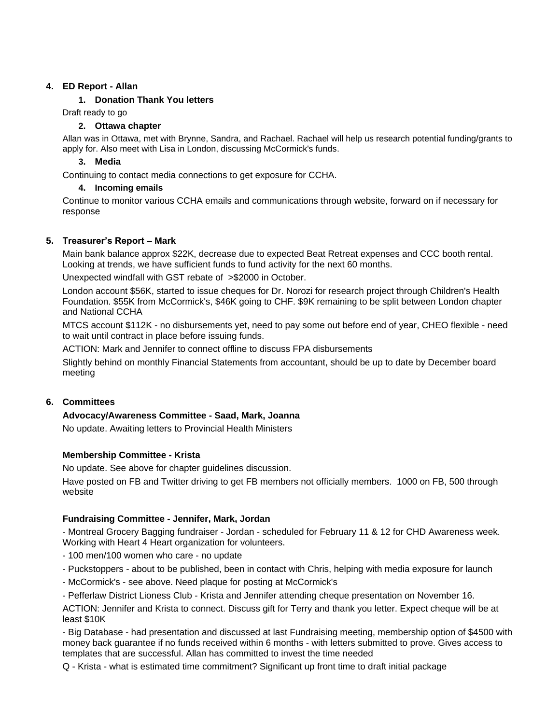### **4. ED Report - Allan**

### **1. Donation Thank You letters**

Draft ready to go

### **2. Ottawa chapter**

Allan was in Ottawa, met with Brynne, Sandra, and Rachael. Rachael will help us research potential funding/grants to apply for. Also meet with Lisa in London, discussing McCormick's funds.

### **3. Media**

Continuing to contact media connections to get exposure for CCHA.

### **4. Incoming emails**

Continue to monitor various CCHA emails and communications through website, forward on if necessary for response

## **5. Treasurer's Report – Mark**

Main bank balance approx \$22K, decrease due to expected Beat Retreat expenses and CCC booth rental. Looking at trends, we have sufficient funds to fund activity for the next 60 months.

Unexpected windfall with GST rebate of >\$2000 in October.

London account \$56K, started to issue cheques for Dr. Norozi for research project through Children's Health Foundation. \$55K from McCormick's, \$46K going to CHF. \$9K remaining to be split between London chapter and National CCHA

MTCS account \$112K - no disbursements yet, need to pay some out before end of year, CHEO flexible - need to wait until contract in place before issuing funds.

ACTION: Mark and Jennifer to connect offline to discuss FPA disbursements

Slightly behind on monthly Financial Statements from accountant, should be up to date by December board meeting

## **6. Committees**

## **Advocacy/Awareness Committee - Saad, Mark, Joanna**

No update. Awaiting letters to Provincial Health Ministers

## **Membership Committee - Krista**

No update. See above for chapter guidelines discussion.

Have posted on FB and Twitter driving to get FB members not officially members. 1000 on FB, 500 through website

## **Fundraising Committee - Jennifer, Mark, Jordan**

- Montreal Grocery Bagging fundraiser - Jordan - scheduled for February 11 & 12 for CHD Awareness week. Working with Heart 4 Heart organization for volunteers.

- 100 men/100 women who care - no update

- Puckstoppers - about to be published, been in contact with Chris, helping with media exposure for launch

- McCormick's - see above. Need plaque for posting at McCormick's

- Pefferlaw District Lioness Club - Krista and Jennifer attending cheque presentation on November 16.

ACTION: Jennifer and Krista to connect. Discuss gift for Terry and thank you letter. Expect cheque will be at least \$10K

- Big Database - had presentation and discussed at last Fundraising meeting, membership option of \$4500 with money back guarantee if no funds received within 6 months - with letters submitted to prove. Gives access to templates that are successful. Allan has committed to invest the time needed

Q - Krista - what is estimated time commitment? Significant up front time to draft initial package